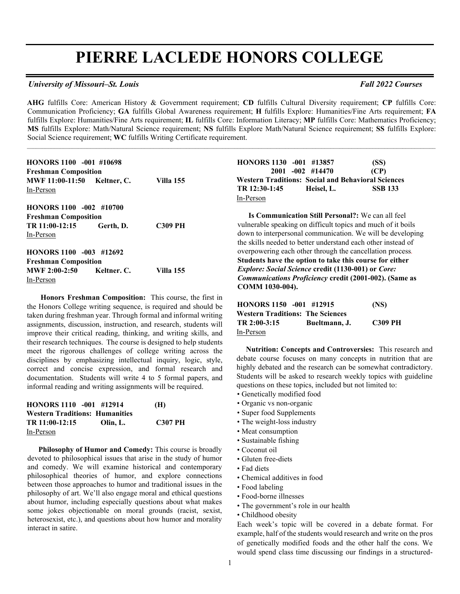# **PIERRE LACLEDE HONORS COLLEGE**

#### *University of Missouri–St. Louis Fall 2022 Courses*

**AHG** fulfills Core: American History & Government requirement; **CD** fulfills Cultural Diversity requirement; **CP** fulfills Core: Communication Proficiency; **GA** fulfills Global Awareness requirement; **H** fulfills Explore: Humanities/Fine Arts requirement; **FA**  fulfills Explore: Humanities/Fine Arts requirement; **IL** fulfills Core: Information Literacy; **MP** fulfills Core: Mathematics Proficiency; **MS** fulfills Explore: Math/Natural Science requirement; **NS** fulfills Explore Math/Natural Science requirement; **SS** fulfills Explore: Social Science requirement; **WC** fulfills Writing Certificate requirement.

 $\mathcal{L} = \{ \mathcal{L} = \{ \mathcal{L} = \{ \mathcal{L} = \{ \mathcal{L} = \{ \mathcal{L} = \{ \mathcal{L} = \{ \mathcal{L} = \{ \mathcal{L} = \{ \mathcal{L} = \{ \mathcal{L} = \{ \mathcal{L} = \{ \mathcal{L} = \{ \mathcal{L} = \{ \mathcal{L} = \{ \mathcal{L} = \{ \mathcal{L} = \{ \mathcal{L} = \{ \mathcal{L} = \{ \mathcal{L} = \{ \mathcal{L} = \{ \mathcal{L} = \{ \mathcal{L} = \{ \mathcal{L} = \{ \mathcal{$ 

| <b>HONORS 1100 -001 #10698</b>   |                  |
|----------------------------------|------------------|
| <b>Freshman Composition</b>      |                  |
| MWF 11:00-11:50 Keltner, C.      | <b>Villa</b> 155 |
| In-Person                        |                  |
| HONORS 1100 -002 #10700          |                  |
| <b>Freshman Composition</b>      |                  |
| TR 11:00-12:15<br>Gerth, D.      | <b>C309 PH</b>   |
| In-Person                        |                  |
| HONORS 1100 -003 #12692          |                  |
| <b>Freshman Composition</b>      |                  |
| <b>MWF 2:00-2:50</b> Keltner, C. | <b>Villa</b> 155 |
| In-Person                        |                  |

 **Honors Freshman Composition:** This course, the first in the Honors College writing sequence, is required and should be taken during freshman year. Through formal and informal writing assignments, discussion, instruction, and research, students will improve their critical reading, thinking, and writing skills, and their research techniques. The course is designed to help students meet the rigorous challenges of college writing across the disciplines by emphasizing intellectual inquiry, logic, style, correct and concise expression, and formal research and documentation. Students will write 4 to 5 formal papers, and informal reading and writing assignments will be required.

| HONORS 1110 -001 #12914               |          | (H)            |
|---------------------------------------|----------|----------------|
| <b>Western Traditions: Humanities</b> |          |                |
| TR 11:00-12:15                        | Olin. L. | <b>C307 PH</b> |
| In-Person                             |          |                |

 **Philosophy of Humor and Comedy:** This course is broadly devoted to philosophical issues that arise in the study of humor and comedy. We will examine historical and contemporary philosophical theories of humor, and explore connections between those approaches to humor and traditional issues in the philosophy of art. We'll also engage moral and ethical questions about humor, including especially questions about what makes some jokes objectionable on moral grounds (racist, sexist, heterosexist, etc.), and questions about how humor and morality interact in satire.

| HONORS 1130 -001 #13857                                   |                     | (SS)           |
|-----------------------------------------------------------|---------------------|----------------|
|                                                           | $2001 - 002$ #14470 | (CP)           |
| <b>Western Traditions: Social and Behavioral Sciences</b> |                     |                |
| TR 12:30-1:45                                             | Heisel, L.          | <b>SSB 133</b> |
| In-Person                                                 |                     |                |

 **Is Communication Still Personal?:** We can all feel vulnerable speaking on difficult topics and much of it boils down to interpersonal communication. We will be developing the skills needed to better understand each other instead of overpowering each other through the cancellation process*.* **Students have the option to take this course for either**  *Explore: Social Science* **credit (1130-001) or** *Core: Communications Proficiency* **credit (2001-002). (Same as COMM 1030-004).** 

| HONORS 1150 -001 #12915                 |               | (NS)           |
|-----------------------------------------|---------------|----------------|
| <b>Western Traditions: The Sciences</b> |               |                |
| TR 2:00-3:15                            | Bueltmann, J. | <b>C309 PH</b> |
| In-Person                               |               |                |

 **Nutrition: Concepts and Controversies:** This research and debate course focuses on many concepts in nutrition that are highly debated and the research can be somewhat contradictory. Students will be asked to research weekly topics with guideline questions on these topics, included but not limited to:

- Genetically modified food
- Organic vs non-organic
- Super food Supplements
- The weight-loss industry
- Meat consumption
- Sustainable fishing
- Coconut oil
- Gluten free-diets
- Fad diets
- Chemical additives in food
- Food labeling
- Food-borne illnesses
- The government's role in our health
- Childhood obesity

Each week's topic will be covered in a debate format. For example, half of the students would research and write on the pros of genetically modified foods and the other half the cons. We would spend class time discussing our findings in a structured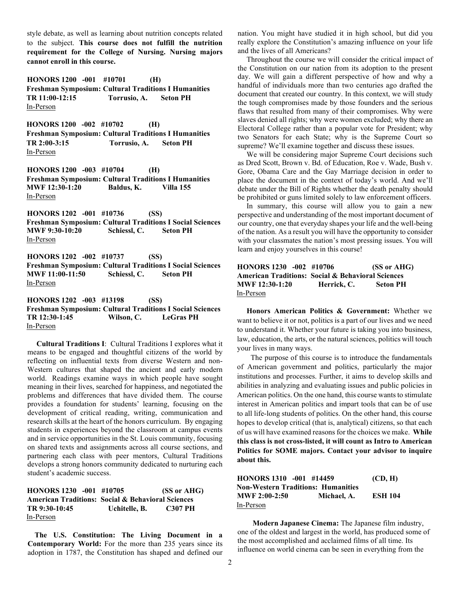style debate, as well as learning about nutrition concepts related to the subject. **This course does not fulfill the nutrition requirement for the College of Nursing. Nursing majors cannot enroll in this course.**

**HONORS 1200 -001 #10701 (H) Freshman Symposium: Cultural Traditions I Humanities TR 11:00-12:15 Torrusio, A. Seton PH** In-Person

**HONORS 1200 -002 #10702 (H) Freshman Symposium: Cultural Traditions I Humanities TR 2:00-3:15 Torrusio, A. Seton PH** In-Person

**HONORS 1200 -003 #10704 (H) Freshman Symposium: Cultural Traditions I Humanities MWF 12:30-1:20 Baldus, K. Villa 155** In-Person

**HONORS 1202 -001 #10736 (SS) Freshman Symposium: Cultural Traditions I Social Sciences MWF 9:30-10:20 Schiessl, C. Seton PH** In-Person

**HONORS 1202 -002 #10737 (SS) Freshman Symposium: Cultural Traditions I Social Sciences MWF 11:00-11:50 Schiessl, C. Seton PH** In-Person

**HONORS 1202 -003 #13198 (SS) Freshman Symposium: Cultural Traditions I Social Sciences TR 12:30-1:45 Wilson, C. LeGras PH** In-Person

 **Cultural Traditions I**: Cultural Traditions I explores what it means to be engaged and thoughtful citizens of the world by reflecting on influential texts from diverse Western and non-Western cultures that shaped the ancient and early modern world. Readings examine ways in which people have sought meaning in their lives, searched for happiness, and negotiated the problems and differences that have divided them. The course provides a foundation for students' learning, focusing on the development of critical reading, writing, communication and research skills at the heart of the honors curriculum. By engaging students in experiences beyond the classroom at campus events and in service opportunities in the St. Louis community, focusing on shared texts and assignments across all course sections, and partnering each class with peer mentors, Cultural Traditions develops a strong honors community dedicated to nurturing each student's academic success.

**HONORS 1230 -001 #10705 (SS or AHG) American Traditions: Social & Behavioral Sciences TR 9:30-10:45 Uchitelle, B. C307 PH** In-Person

 **The U.S. Constitution: The Living Document in a Contemporary World:** For the more than 235 years since its adoption in 1787, the Constitution has shaped and defined our nation. You might have studied it in high school, but did you really explore the Constitution's amazing influence on your life and the lives of all Americans?

 Throughout the course we will consider the critical impact of the Constitution on our nation from its adoption to the present day. We will gain a different perspective of how and why a handful of individuals more than two centuries ago drafted the document that created our country. In this context, we will study the tough compromises made by those founders and the serious flaws that resulted from many of their compromises. Why were slaves denied all rights; why were women excluded; why there an Electoral College rather than a popular vote for President; why two Senators for each State; why is the Supreme Court so supreme? We'll examine together and discuss these issues.

 We will be considering major Supreme Court decisions such as Dred Scott, Brown v. Bd. of Education, Roe v. Wade, Bush v. Gore, Obama Care and the Gay Marriage decision in order to place the document in the context of today's world. And we'll debate under the Bill of Rights whether the death penalty should be prohibited or guns limited solely to law enforcement officers.

 In summary, this course will allow you to gain a new perspective and understanding of the most important document of our country, one that everyday shapes your life and the well-being of the nation. As a result you will have the opportunity to consider with your classmates the nation's most pressing issues. You will learn and enjoy yourselves in this course!

#### **HONORS 1230 -002 #10706 (SS or AHG) American Traditions: Social & Behavioral Sciences MWF 12:30-1:20 Herrick, C. Seton PH** In-Person

 **Honors American Politics & Government:** Whether we want to believe it or not, politics is a part of our lives and we need to understand it. Whether your future is taking you into business, law, education, the arts, or the natural sciences, politics will touch your lives in many ways.

The purpose of this course is to introduce the fundamentals of American government and politics, particularly the major institutions and processes. Further, it aims to develop skills and abilities in analyzing and evaluating issues and public policies in American politics. On the one hand, this course wants to stimulate interest in American politics and impart tools that can be of use to all life-long students of politics. On the other hand, this course hopes to develop critical (that is, analytical) citizens, so that each of us will have examined reasons for the choices we make. **While this class is not cross-listed, it will count as Intro to American Politics for SOME majors. Contact your advisor to inquire about this.**

| HONORS 1310 -001 #14459                   |             | (CD, H)        |
|-------------------------------------------|-------------|----------------|
| <b>Non-Western Traditions: Humanities</b> |             |                |
| $MWF 2:00-2:50$                           | Michael, A. | <b>ESH 104</b> |
| In-Person                                 |             |                |

 **Modern Japanese Cinema:** The Japanese film industry, one of the oldest and largest in the world, has produced some of the most accomplished and acclaimed films of all time. Its influence on world cinema can be seen in everything from the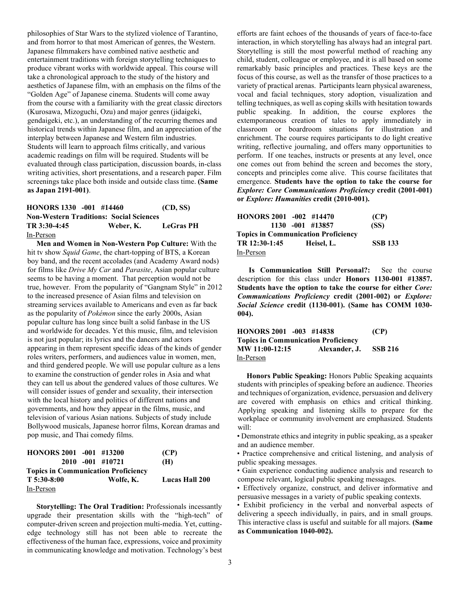philosophies of Star Wars to the stylized violence of Tarantino, and from horror to that most American of genres, the Western. Japanese filmmakers have combined native aesthetic and entertainment traditions with foreign storytelling techniques to produce vibrant works with worldwide appeal. This course will take a chronological approach to the study of the history and aesthetics of Japanese film, with an emphasis on the films of the "Golden Age" of Japanese cinema. Students will come away from the course with a familiarity with the great classic directors (Kurosawa, Mizoguchi, Ozu) and major genres (jidaigeki, gendaigeki, etc.), an understanding of the recurring themes and historical trends within Japanese film, and an appreciation of the interplay between Japanese and Western film industries. Students will learn to approach films critically, and various academic readings on film will be required. Students will be evaluated through class participation, discussion boards, in-class writing activities, short presentations, and a research paper. Film screenings take place both inside and outside class time. **(Same as Japan 2191-001)**.

#### **HONORS 1330 -001 #14460 (CD, SS) Non-Western Traditions: Social Sciences TR 3:30-4:45 Weber, K. LeGras PH** In-Person

 **Men and Women in Non-Western Pop Culture:** With the hit tv show *Squid Game*, the chart-topping of BTS, a Korean boy band, and the recent accolades (and Academy Award nods) for films like *Drive My Car* and *Parasite*, Asian popular culture seems to be having a moment. That perception would not be true, however. From the popularity of "Gangnam Style" in 2012 to the increased presence of Asian films and television on streaming services available to Americans and even as far back as the popularity of *Pokémon* since the early 2000s, Asian popular culture has long since built a solid fanbase in the US and worldwide for decades. Yet this music, film, and television is not just popular; its lyrics and the dancers and actors appearing in them represent specific ideas of the kinds of gender roles writers, performers, and audiences value in women, men, and third gendered people. We will use popular culture as a lens to examine the construction of gender roles in Asia and what they can tell us about the gendered values of those cultures. We will consider issues of gender and sexuality, their intersection with the local history and politics of different nations and governments, and how they appear in the films, music, and television of various Asian nations. Subjects of study include Bollywood musicals, Japanese horror films, Korean dramas and pop music, and Thai comedy films.

| HONORS 2001 -001 #13200                    |                     | (CP)                  |
|--------------------------------------------|---------------------|-----------------------|
|                                            | $2010 - 001$ #10721 | (H)                   |
| <b>Topics in Communication Proficiency</b> |                     |                       |
| $T\,5:30-8:00$                             | Wolfe, K.           | <b>Lucas Hall 200</b> |
| In-Person                                  |                     |                       |

 **Storytelling: The Oral Tradition:** Professionals incessantly upgrade their presentation skills with the "high-tech" of computer-driven screen and projection multi-media. Yet, cuttingedge technology still has not been able to recreate the effectiveness of the human face, expressions, voice and proximity in communicating knowledge and motivation. Technology's best

efforts are faint echoes of the thousands of years of face-to-face interaction, in which storytelling has always had an integral part. Storytelling is still the most powerful method of reaching any child, student, colleague or employee, and it is all based on some remarkably basic principles and practices. These keys are the focus of this course, as well as the transfer of those practices to a variety of practical arenas. Participants learn physical awareness, vocal and facial techniques, story adoption, visualization and telling techniques, as well as coping skills with hesitation towards public speaking. In addition, the course explores the extemporaneous creation of tales to apply immediately in classroom or boardroom situations for illustration and enrichment. The course requires participants to do light creative writing, reflective journaling, and offers many opportunities to perform. If one teaches, instructs or presents at any level, once one comes out from behind the screen and becomes the story, concepts and principles come alive. This course facilitates that emergence. **Students have the option to take the course for**  *Explore: Core Communications Proficiency* **credit (2001-001) or** *Explore: Humanities* **credit (2010-001).**

| HONORS $2001 -002$ #14470                  |                     | (CP)           |  |
|--------------------------------------------|---------------------|----------------|--|
|                                            | $1130 - 001$ #13857 | (SS)           |  |
| <b>Topics in Communication Proficiency</b> |                     |                |  |
| TR 12:30-1:45                              | Heisel, L.          | <b>SSB 133</b> |  |
| In-Person                                  |                     |                |  |

 **Is Communication Still Personal?:** See the course description for this class under **Honors 1130-001 #13857. Students have the option to take the course for either** *Core: Communications Proficiency* **credit (2001-002) or** *Explore: Social Science* **credit (1130-001). (Same has COMM 1030- 004).**

| HONORS 2001 -003 #14838                    |               | (CP)           |
|--------------------------------------------|---------------|----------------|
| <b>Topics in Communication Proficiency</b> |               |                |
| MW 11:00-12:15                             | Alexander, J. | <b>SSB 216</b> |
| In-Person                                  |               |                |

 **Honors Public Speaking:** Honors Public Speaking acquaints students with principles of speaking before an audience. Theories and techniques of organization, evidence, persuasion and delivery are covered with emphasis on ethics and critical thinking. Applying speaking and listening skills to prepare for the workplace or community involvement are emphasized. Students will:

• Demonstrate ethics and integrity in public speaking, as a speaker and an audience member.

• Practice comprehensive and critical listening, and analysis of public speaking messages.

• Gain experience conducting audience analysis and research to compose relevant, logical public speaking messages.

• Effectively organize, construct, and deliver informative and persuasive messages in a variety of public speaking contexts.

• Exhibit proficiency in the verbal and nonverbal aspects of delivering a speech individually, in pairs, and in small groups. This interactive class is useful and suitable for all majors. **(Same as Communication 1040-002).**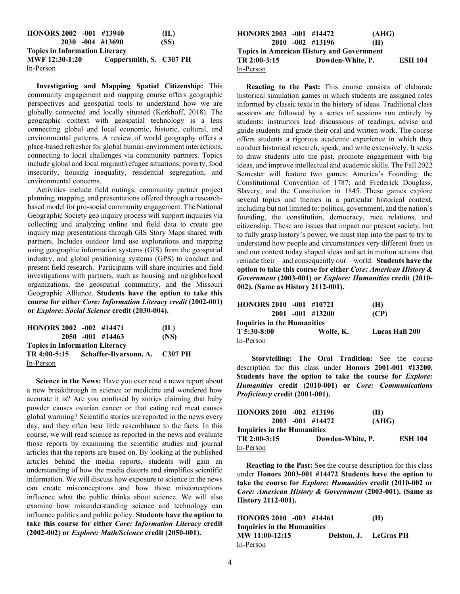| HONORS 2002 -001 #13940               |                         | (IL) |
|---------------------------------------|-------------------------|------|
|                                       | 2030 -004 #13690        | (SS) |
| <b>Topics in Information Literacy</b> |                         |      |
| MWF 12:30-1:20                        | Coppersmith, S. C307 PH |      |
| In-Person                             |                         |      |

 **Investigating and Mapping Spatial Citizenship:** This community engagement and mapping course offers geographic perspectives and geospatial tools to understand how we are globally connected and locally situated (Kerkhoff, 2018). The geographic context with geospatial technology is a lens connecting global and local economic, historic, cultural, and environmental patterns. A review of world geography offers a place-based refresher for global human-environment interactions, connecting to local challenges via community partners. Topics include global and local migrant/refugee situations, poverty, food insecurity, housing inequality, residential segregation, and environmental concerns.

 Activities include field outings, community partner project planning, mapping, and presentations offered through a researchbased model for pro-social community engagement. The National Geographic Society geo inquiry process will support inquiries via collecting and analyzing online and field data to create geo inquiry map presentations through GIS Story Maps shared with partners. Includes outdoor land use explorations and mapping using geographic information systems (GIS) from the geospatial industry, and global positioning systems (GPS) to conduct and present field research. Participants will share inquiries and field investigations with partners, such as housing and neighborhood organizations, the geospatial community, and the Missouri Geographic Alliance. **Students have the option to take this course for either** *Core: Information Literacy credit* **(2002-001) or** *Explore: Social Science* **credit (2030-004).**

| HONORS 2002 -002 #14471               |                                             | (IL) |
|---------------------------------------|---------------------------------------------|------|
|                                       | $2050 - 001$ #14463                         | (NS) |
| <b>Topics in Information Literacy</b> |                                             |      |
|                                       | TR 4:00-5:15 Schaffer-Ilvarsonn, A. C307 PH |      |
| In-Person                             |                                             |      |

 **Science in the News:** Have you ever read a news report about a new breakthrough in science or medicine and wondered how accurate it is? Are you confused by stories claiming that baby powder causes ovarian cancer or that eating red meat causes global warming? Scientific stories are reported in the news every day, and they often bear little resemblance to the facts. In this course, we will read science as reported in the news and evaluate those reports by examining the scientific studies and journal articles that the reports are based on. By looking at the published articles behind the media reports, students will gain an understanding of how the media distorts and simplifies scientific information. We will discuss how exposure to science in the news can create misconceptions and how those misconceptions influence what the public thinks about science. We will also examine how misunderstanding science and technology can influence politics and public policy. **Students have the option to take this course for either** *Core: Information Literacy* **credit (2002-002) or** *Explore: Math/Science* **credit (2050-001).**

| HONORS 2003 -001 #14472                          |  |                     | (AHG)            |                |  |
|--------------------------------------------------|--|---------------------|------------------|----------------|--|
|                                                  |  | $2010 - 002$ #13196 | (H)              |                |  |
| <b>Topics in American History and Government</b> |  |                     |                  |                |  |
| $TR 2:00-3:15$                                   |  |                     | Dowden-White, P. | <b>ESH 104</b> |  |
| In-Person                                        |  |                     |                  |                |  |

 **Reacting to the Past:** This course consists of elaborate historical simulation games in which students are assigned roles informed by classic texts in the history of ideas. Traditional class sessions are followed by a series of sessions run entirely by students; instructors lead discussions of readings, advise and guide students and grade their oral and written work. The course offers students a rigorous academic experience in which they conduct historical research, speak, and write extensively. It seeks to draw students into the past, promote engagement with big ideas, and improve intellectual and academic skills. The Fall 2022 Semester will feature two games: America's Founding: the Constitutional Convention of 1787; and Frederick Douglass, Slavery, and the Constitution in 1845. These games explore several topics and themes in a particular historical context, including but not limited to: politics, government, and the nation's founding, the constitution, democracy, race relations, and citizenship. These are issues that impact our present society, but to fully grasp history's power, we must step into the past to try to understand how people and circumstances very different from us and our context today shaped ideas and set in motion actions that remade their—and consequently our—world. **Students have the option to take this course for either** *Core: American History & Government* **(2003-001) or** *Explore: Humanities* **credit (2010- 002). (Same as History 2112-001).** 

| HONORS 2010 -001 #10721     |                  | (H)                   |
|-----------------------------|------------------|-----------------------|
|                             | 2001 -001 #13200 | (CP)                  |
| Inquiries in the Humanities |                  |                       |
| $T$ 5:30-8:00               | Wolfe, K.        | <b>Lucas Hall 200</b> |
| In-Person                   |                  |                       |

 **Storytelling: The Oral Tradition:** See the course description for this class under **Honors 2001-001 #13200. Students have the option to take the course for** *Explore: Humanities* **credit (2010-001) or** *Core: Communications Proficiency* **credit (2001-001).**

| HONORS 2010 -002 #13196     |                     | (H)   |                |
|-----------------------------|---------------------|-------|----------------|
|                             | $2003 - 001$ #14472 | (AHG) |                |
| Inquiries in the Humanities |                     |       |                |
| TR 2:00-3:15                | Dowden-White, P.    |       | <b>ESH 104</b> |
| In-Person                   |                     |       |                |

 **Reacting to the Past:** See the course description for this class under **Honors 2003-001 #14472 Students have the option to take the course for** *Explore: Humanities* **credit (2010-002 or**  *Core: American History & Government* **(2003-001). (Same as History 2112-001).** 

| HONORS 2010 -003 #14461     | (H)                   |
|-----------------------------|-----------------------|
| Inquiries in the Humanities |                       |
| MW 11:00-12:15              | Delston, J. LeGras PH |
| In-Person                   |                       |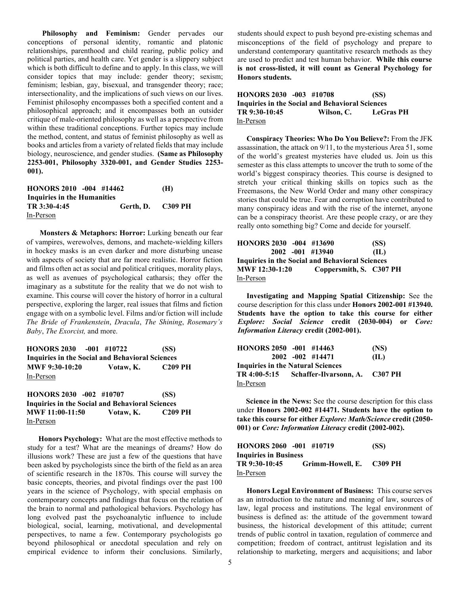**Philosophy and Feminism:** Gender pervades our conceptions of personal identity, romantic and platonic relationships, parenthood and child rearing, public policy and political parties, and health care. Yet gender is a slippery subject which is both difficult to define and to apply. In this class, we will consider topics that may include: gender theory; sexism; feminism; lesbian, gay, bisexual, and transgender theory; race; intersectionality, and the implications of such views on our lives. Feminist philosophy encompasses both a specified content and a philosophical approach; and it encompasses both an outsider critique of male-oriented philosophy as well as a perspective from within these traditional conceptions. Further topics may include the method, content, and status of feminist philosophy as well as books and articles from a variety of related fields that may include biology, neuroscience, and gender studies. **(Same as Philosophy 2253-001, Philosophy 3320-001, and Gender Studies 2253- 001).**

| HONORS 2010 -004 #14462     |                   | (H) |
|-----------------------------|-------------------|-----|
| Inquiries in the Humanities |                   |     |
| TR 3:30-4:45                | Gerth, D. C309 PH |     |
| In-Person                   |                   |     |

 **Monsters & Metaphors: Horror:** Lurking beneath our fear of vampires, werewolves, demons, and machete-wielding killers in hockey masks is an even darker and more disturbing unease with aspects of society that are far more realistic. Horror fiction and films often act as social and political critiques, morality plays, as well as avenues of psychological catharsis; they offer the imaginary as a substitute for the reality that we do not wish to examine. This course will cover the history of horror in a cultural perspective, exploring the larger, real issues that films and fiction engage with on a symbolic level. Films and/or fiction will include *The Bride of Frankenstein*, *Dracula*, *The Shining*, *Rosemary's Baby*, *The Exorcist,* and more.

| HONORS 2030 -001 #10722                         |           | (SS)           |
|-------------------------------------------------|-----------|----------------|
| Inquiries in the Social and Behavioral Sciences |           |                |
| <b>MWF 9:30-10:20</b>                           | Votaw. K. | <b>C209 PH</b> |
| In-Person                                       |           |                |

**HONORS 2030 -002 #10707 (SS) Inquiries in the Social and Behavioral Sciences MWF 11:00-11:50** Votaw, K. In-Person

 **Honors Psychology:** What are the most effective methods to study for a test? What are the meanings of dreams? How do illusions work? These are just a few of the questions that have been asked by psychologists since the birth of the field as an area of scientific research in the 1870s. This course will survey the basic concepts, theories, and pivotal findings over the past 100 years in the science of Psychology, with special emphasis on contemporary concepts and findings that focus on the relation of the brain to normal and pathological behaviors. Psychology has long evolved past the psychoanalytic influence to include biological, social, learning, motivational, and developmental perspectives, to name a few. Contemporary psychologists go beyond philosophical or anecdotal speculation and rely on empirical evidence to inform their conclusions. Similarly, students should expect to push beyond pre-existing schemas and misconceptions of the field of psychology and prepare to understand contemporary quantitative research methods as they are used to predict and test human behavior. **While this course is not cross-listed, it will count as General Psychology for Honors students.**

**HONORS 2030 -003 #10708 (SS) Inquiries in the Social and Behavioral Sciences TR 9:30-10:45 Wilson, C. LeGras PH** In-Person

 **Conspiracy Theories: Who Do You Believe?:** From the JFK assassination, the attack on 9/11, to the mysterious Area 51, some of the world's greatest mysteries have eluded us. Join us this semester as this class attempts to uncover the truth to some of the world's biggest conspiracy theories. This course is designed to stretch your critical thinking skills on topics such as the Freemasons, the New World Order and many other conspiracy stories that could be true. Fear and corruption have contributed to many conspiracy ideas and with the rise of the internet, anyone can be a conspiracy theorist. Are these people crazy, or are they really onto something big? Come and decide for yourself.

| HONORS 2030 -004 #13690                                |                         | (SS) |
|--------------------------------------------------------|-------------------------|------|
| $2002 - 001$ #13940                                    |                         | (IL) |
| <b>Inquiries in the Social and Behavioral Sciences</b> |                         |      |
| <b>MWF 12:30-1:20</b>                                  | Coppersmith, S. C307 PH |      |
| In-Person                                              |                         |      |

 **Investigating and Mapping Spatial Citizenship:** See the course description for this class under **Honors 2002-001 #13940. Students have the option to take this course for either** *Explore: Social Science* **credit (2030-004) or** *Core: Information Literacy* **credit (2002-001).**

| HONORS 2050 -001 #14463                  |                     | (NS) |
|------------------------------------------|---------------------|------|
|                                          | $2002 - 002$ #14471 | (IL) |
| <b>Inquiries in the Natural Sciences</b> |                     |      |
|                                          |                     |      |
| In-Person                                |                     |      |

 **Science in the News:** See the course description for this class under **Honors 2002-002 #14471. Students have the option to take this course for either** *Explore: Math/Science* **credit (2050- 001) or** *Core: Information Literacy* **credit (2002-002).**

| HONORS 2060 -001 #10719      |                          | (SS) |
|------------------------------|--------------------------|------|
| <b>Inquiries in Business</b> |                          |      |
| TR 9:30-10:45                | Grimm-Howell, E. C309 PH |      |
| In-Person                    |                          |      |

 **Honors Legal Environment of Business:** This course serves as an introduction to the nature and meaning of law, sources of law, legal process and institutions. The legal environment of business is defined as: the attitude of the government toward business, the historical development of this attitude; current trends of public control in taxation, regulation of commerce and competition; freedom of contract, antitrust legislation and its relationship to marketing, mergers and acquisitions; and labor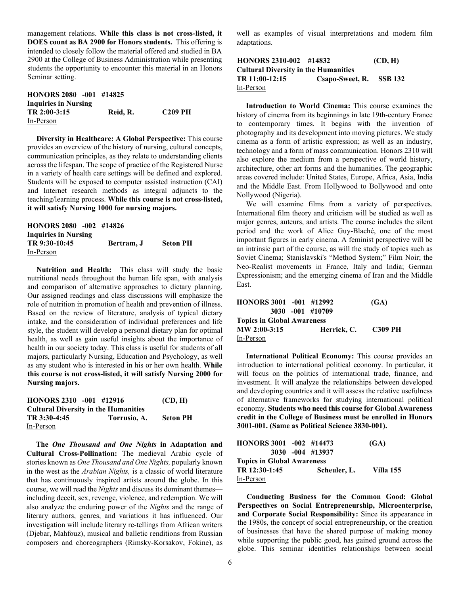management relations. **While this class is not cross-listed, it DOES count as BA 2900 for Honors students.** This offering is intended to closely follow the material offered and studied in BA 2900 at the College of Business Administration while presenting students the opportunity to encounter this material in an Honors Seminar setting.

| HONORS 2080 -001 #14825     |          |                |
|-----------------------------|----------|----------------|
| <b>Inquiries in Nursing</b> |          |                |
| TR 2:00-3:15                | Reid. R. | <b>C209 PH</b> |
| In-Person                   |          |                |

 **Diversity in Healthcare: A Global Perspective:** This course provides an overview of the history of nursing, cultural concepts, communication principles, as they relate to understanding clients across the lifespan. The scope of practice of the Registered Nurse in a variety of health care settings will be defined and explored. Students will be exposed to computer assisted instruction (CAI) and Internet research methods as integral adjuncts to the teaching/learning process. **While this course is not cross-listed, it will satisfy Nursing 1000 for nursing majors.** 

| HONORS 2080 -002 #14826     |            |                 |
|-----------------------------|------------|-----------------|
| <b>Inquiries in Nursing</b> |            |                 |
| TR 9:30-10:45               | Bertram, J | <b>Seton PH</b> |
| In-Person                   |            |                 |

 **Nutrition and Health:** This class will study the basic nutritional needs throughout the human life span, with analysis and comparison of alternative approaches to dietary planning. Our assigned readings and class discussions will emphasize the role of nutrition in promotion of health and prevention of illness. Based on the review of literature, analysis of typical dietary intake, and the consideration of individual preferences and life style, the student will develop a personal dietary plan for optimal health, as well as gain useful insights about the importance of health in our society today. This class is useful for students of all majors, particularly Nursing, Education and Psychology, as well as any student who is interested in his or her own health. **While this course is not cross-listed, it will satisfy Nursing 2000 for Nursing majors.**

| HONORS $2310 -001$ #12916                   |              | (CD, H)         |
|---------------------------------------------|--------------|-----------------|
| <b>Cultural Diversity in the Humanities</b> |              |                 |
| TR 3:30-4:45                                | Torrusio, A. | <b>Seton PH</b> |
| In-Person                                   |              |                 |

 **The** *One Thousand and One Nights* **in Adaptation and Cultural Cross-Pollination:** The medieval Arabic cycle of stories known as *One Thousand and One Nights,* popularly known in the west as the *Arabian Nights,* is a classic of world literature that has continuously inspired artists around the globe. In this course, we will read the *Nights* and discuss its dominant themes including deceit, sex, revenge, violence, and redemption. We will also analyze the enduring power of the *Nights* and the range of literary authors, genres, and variations it has influenced. Our investigation will include literary re-tellings from African writers (Djebar, Mahfouz), musical and balletic renditions from Russian composers and choreographers (Rimsky-Korsakov, Fokine), as

well as examples of visual interpretations and modern film adaptations.

### **HONORS 2310-002 #14832 (CD, H) Cultural Diversity in the Humanities TR 11:00-12:15 Csapo-Sweet, R. SSB 132** In-Person

 **Introduction to World Cinema:** This course examines the history of cinema from its beginnings in late 19th-century France to contemporary times. It begins with the invention of photography and its development into moving pictures. We study cinema as a form of artistic expression; as well as an industry, technology and a form of mass communication. Honors 2310 will also explore the medium from a perspective of world history, architecture, other art forms and the humanities. The geographic areas covered include: United States, Europe, Africa, Asia, India and the Middle East. From Hollywood to Bollywood and onto Nollywood (Nigeria).

We will examine films from a variety of perspectives. International film theory and criticism will be studied as well as major genres, auteurs, and artists. The course includes the silent period and the work of Alice Guy-Blaché, one of the most important figures in early cinema. A feminist perspective will be an intrinsic part of the course, as will the study of topics such as Soviet Cinema; Stanislavski's "Method System;" Film Noir; the Neo-Realist movements in France, Italy and India; German Expressionism; and the emerging cinema of Iran and the Middle East.

| HONORS 3001 -001 #12992           |                  | (GA)    |
|-----------------------------------|------------------|---------|
|                                   | 3030 -001 #10709 |         |
| <b>Topics in Global Awareness</b> |                  |         |
| $MW 2:00-3:15$                    | Herrick, C.      | C309 PH |
| In-Person                         |                  |         |

 **International Political Economy:** This course provides an introduction to international political economy. In particular, it will focus on the politics of international trade, finance, and investment. It will analyze the relationships between developed and developing countries and it will assess the relative usefulness of alternative frameworks for studying international political economy. **Students who need this course for Global Awareness credit in the College of Business must be enrolled in Honors 3001-001. (Same as Political Science 3830-001).** 

| HONORS 3001 -002 #14473           |                  | (GA)        |
|-----------------------------------|------------------|-------------|
|                                   | 3030 -004 #13937 |             |
| <b>Topics in Global Awareness</b> |                  |             |
| TR 12:30-1:45                     | Scheuler, L.     | - Villa 155 |
| In-Person                         |                  |             |

 **Conducting Business for the Common Good: Global Perspectives on Social Entrepreneurship, Microenterprise, and Corporate Social Responsibility:** Since its appearance in the 1980s, the concept of social entrepreneurship, or the creation of businesses that have the shared purpose of making money while supporting the public good, has gained ground across the globe. This seminar identifies relationships between social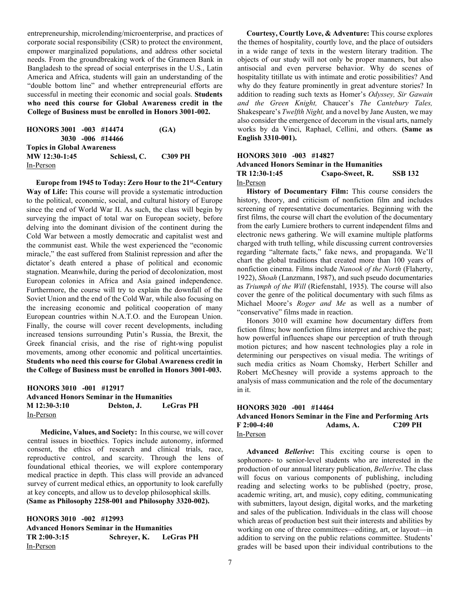entrepreneurship, microlending/microenterprise, and practices of corporate social responsibility (CSR) to protect the environment, empower marginalized populations, and address other societal needs. From the groundbreaking work of the Grameen Bank in Bangladesh to the spread of social enterprises in the U.S., Latin America and Africa, students will gain an understanding of the "double bottom line" and whether entrepreneurial efforts are successful in meeting their economic and social goals. **Students who need this course for Global Awareness credit in the College of Business must be enrolled in Honors 3001-002.**

| HONORS 3001 -003 #14474           |                      | (GA) |  |  |  |  |  |  |
|-----------------------------------|----------------------|------|--|--|--|--|--|--|
| $3030 - 006$ #14466               |                      |      |  |  |  |  |  |  |
| <b>Topics in Global Awareness</b> |                      |      |  |  |  |  |  |  |
| MW 12:30-1:45                     | Schiessl, C. C309 PH |      |  |  |  |  |  |  |
| In-Person                         |                      |      |  |  |  |  |  |  |

 **Europe from 1945 to Today: Zero Hour to the 21st-Century Way of Life:** This course will provide a systematic introduction to the political, economic, social, and cultural history of Europe since the end of World War II. As such, the class will begin by surveying the impact of total war on European society, before delving into the dominant division of the continent during the Cold War between a mostly democratic and capitalist west and the communist east. While the west experienced the "economic miracle," the east suffered from Stalinist repression and after the dictator's death entered a phase of political and economic stagnation. Meanwhile, during the period of decolonization, most European colonies in Africa and Asia gained independence. Furthermore, the course will try to explain the downfall of the Soviet Union and the end of the Cold War, while also focusing on the increasing economic and political cooperation of many European countries within N.A.T.O. and the European Union. Finally, the course will cover recent developments, including increased tensions surrounding Putin's Russia, the Brexit, the Greek financial crisis, and the rise of right-wing populist movements, among other economic and political uncertainties. **Students who need this course for Global Awareness credit in the College of Business must be enrolled in Honors 3001-003.**

### **HONORS 3010 -001 #12917 Advanced Honors Seminar in the Humanities M 12:30-3:10 Delston, J. LeGras PH**  In-Person

 **Medicine, Values, and Society:** In this course, we will cover central issues in bioethics. Topics include autonomy, informed consent, the ethics of research and clinical trials, race, reproductive control, and scarcity. Through the lens of foundational ethical theories, we will explore contemporary medical practice in depth. This class will provide an advanced survey of current medical ethics, an opportunity to look carefully at key concepts, and allow us to develop philosophical skills. **(Same as Philosophy 2258-001 and Philosophy 3320-002).** 

**HONORS 3010 -002 #12993 Advanced Honors Seminar in the Humanities TR 2:00-3:15 Schreyer, K. LeGras PH** In-Person

 **Courtesy, Courtly Love, & Adventure:** This course explores the themes of hospitality, courtly love, and the place of outsiders in a wide range of texts in the western literary tradition. The objects of our study will not only be proper manners, but also antisocial and even perverse behavior. Why do scenes of hospitality titillate us with intimate and erotic possibilities? And why do they feature prominently in great adventure stories? In addition to reading such texts as Homer's *Odyssey, Sir Gawain and the Green Knight,* Chaucer's *The Cantebury Tales,*  Shakespeare's *Twelfth Night,* and a novel by Jane Austen, we may also consider the emergence of decorum in the visual arts, namely works by da Vinci, Raphael, Cellini, and others. **(Same as English 3310-001).**

#### **HONORS 3010 -003 #14827**

#### **Advanced Honors Seminar in the Humanities TR 12:30-1:45 Csapo-Sweet, R. SSB 132** In-Person

 **History of Documentary Film:** This course considers the history, theory, and criticism of nonfiction film and includes screening of representative documentaries. Beginning with the first films, the course will chart the evolution of the documentary from the early Lumiere brothers to current independent films and electronic news gathering. We will examine multiple platforms charged with truth telling, while discussing current controversies regarding "alternate facts," fake news, and propaganda. We'll chart the global traditions that created more than 100 years of nonfiction cinema. Films include *Nanook of the North* (Flaherty, 1922), *Shoah* (Lanzmann, 1987), and such pseudo documentaries as *Triumph of the Will* (Riefenstahl, 1935). The course will also cover the genre of the political documentary with such films as Michael Moore's *Roger and Me* as well as a number of "conservative" films made in reaction.

 Honors 3010 will examine how documentary differs from fiction films; how nonfiction films interpret and archive the past; how powerful influences shape our perception of truth through motion pictures; and how nascent technologies play a role in determining our perspectives on visual media. The writings of such media critics as Noam Chomsky, Herbert Schiller and Robert McChesney will provide a systems approach to the analysis of mass communication and the role of the documentary in it.

#### **HONORS 3020 -001 #14464 Advanced Honors Seminar in the Fine and Performing Arts F 2:00-4:40 Adams, A. C209 PH** In-Person

 **Advanced** *Bellerive***:** This exciting course is open to sophomore- to senior-level students who are interested in the production of our annual literary publication, *Bellerive*. The class will focus on various components of publishing, including reading and selecting works to be published (poetry, prose, academic writing, art, and music), copy editing, communicating with submitters, layout design, digital works, and the marketing and sales of the publication. Individuals in the class will choose which areas of production best suit their interests and abilities by working on one of three committees—editing, art, or layout—in addition to serving on the public relations committee. Students' grades will be based upon their individual contributions to the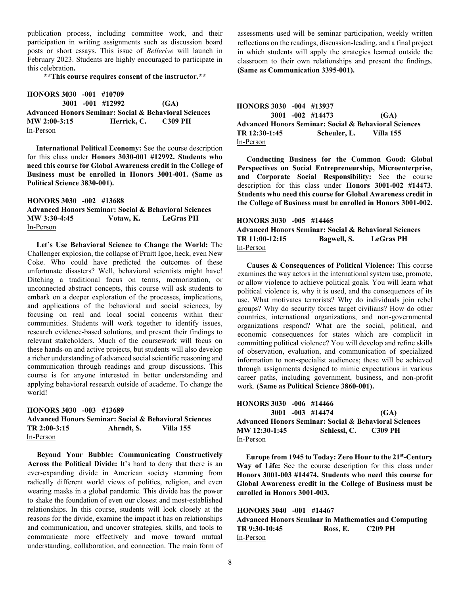publication process, including committee work, and their participation in writing assignments such as discussion board posts or short essays. This issue of *Bellerive* will launch in February 2023. Students are highly encouraged to participate in this celebration**.** 

**\*\*This course requires consent of the instructor.\*\***

**HONORS 3030 -001 #10709 3001 -001 #12992 (GA) Advanced Honors Seminar: Social & Behavioral Sciences MW 2:00-3:15 Herrick, C. C309 PH** In-Person

 **International Political Economy:** See the course description for this class under **Honors 3030-001 #12992. Students who need this course for Global Awareness credit in the College of Business must be enrolled in Honors 3001-001. (Same as Political Science 3830-001).**

# **HONORS 3030 -002 #13688 Advanced Honors Seminar: Social & Behavioral Sciences MW 3:30-4:45 Votaw, K. LeGras PH** In-Person

 **Let's Use Behavioral Science to Change the World:** The Challenger explosion, the collapse of Pruitt Igoe, heck, even New Coke. Who could have predicted the outcomes of these unfortunate disasters? Well, behavioral scientists might have! Ditching a traditional focus on terms, memorization, or unconnected abstract concepts, this course will ask students to embark on a deeper exploration of the processes, implications, and applications of the behavioral and social sciences, by focusing on real and local social concerns within their communities. Students will work together to identify issues, research evidence-based solutions, and present their findings to relevant stakeholders. Much of the coursework will focus on these hands-on and active projects, but students will also develop a richer understanding of advanced social scientific reasoning and communication through readings and group discussions. This course is for anyone interested in better understanding and applying behavioral research outside of academe. To change the world!

**HONORS 3030 -003 #13689 Advanced Honors Seminar: Social & Behavioral Sciences TR 2:00-3:15 Ahrndt, S. Villa 155** In-Person

 **Beyond Your Bubble: Communicating Constructively Across the Political Divide:** It's hard to deny that there is an ever-expanding divide in American society stemming from radically different world views of politics, religion, and even wearing masks in a global pandemic. This divide has the power to shake the foundation of even our closest and most-established relationships. In this course, students will look closely at the reasons for the divide, examine the impact it has on relationships and communication, and uncover strategies, skills, and tools to communicate more effectively and move toward mutual understanding, collaboration, and connection. The main form of assessments used will be seminar participation, weekly written reflections on the readings, discussion-leading, and a final project in which students will apply the strategies learned outside the classroom to their own relationships and present the findings. **(Same as Communication 3395-001).**

| HONORS $3030 -004$ #13937                                        |  |                        |      |  |  |  |  |
|------------------------------------------------------------------|--|------------------------|------|--|--|--|--|
|                                                                  |  | 3001 -002 #14473       | (GA) |  |  |  |  |
| <b>Advanced Honors Seminar: Social &amp; Behavioral Sciences</b> |  |                        |      |  |  |  |  |
| TR 12:30-1:45                                                    |  | Scheuler, L. Villa 155 |      |  |  |  |  |
| In-Person                                                        |  |                        |      |  |  |  |  |

 **Conducting Business for the Common Good: Global Perspectives on Social Entrepreneurship, Microenterprise, and Corporate Social Responsibility:** See the course description for this class under **Honors 3001-002 #14473**. **Students who need this course for Global Awareness credit in the College of Business must be enrolled in Honors 3001-002.**

#### **HONORS 3030 -005 #14465**

**Advanced Honors Seminar: Social & Behavioral Sciences TR 11:00-12:15 Bagwell, S. LeGras PH** In-Person

 **Causes & Consequences of Political Violence:** This course examines the way actors in the international system use, promote, or allow violence to achieve political goals. You will learn what political violence is, why it is used, and the consequences of its use. What motivates terrorists? Why do individuals join rebel groups? Why do security forces target civilians? How do other countries, international organizations, and non-governmental organizations respond? What are the social, political, and economic consequences for states which are complicit in committing political violence? You will develop and refine skills of observation, evaluation, and communication of specialized information to non-specialist audiences; these will be achieved through assignments designed to mimic expectations in various career paths, including government, business, and non-profit work. **(Same as Political Science 3860-001).**

| HONORS 3030 -006 #14466 |  |                                                                  |                      |  |
|-------------------------|--|------------------------------------------------------------------|----------------------|--|
|                         |  | 3001 -003 #14474                                                 | (GA)                 |  |
|                         |  | <b>Advanced Honors Seminar: Social &amp; Behavioral Sciences</b> |                      |  |
| MW 12:30-1:45           |  |                                                                  | Schiessl. C. C309 PH |  |
| In-Person               |  |                                                                  |                      |  |

 **Europe from 1945 to Today: Zero Hour to the 21st-Century Way of Life:** See the course description for this class under **Honors 3001-003 #14474. Students who need this course for Global Awareness credit in the College of Business must be enrolled in Honors 3001-003.**

**HONORS 3040 -001 #14467 Advanced Honors Seminar in Mathematics and Computing TR 9:30-10:45 Ross, E. C209 PH** In-Person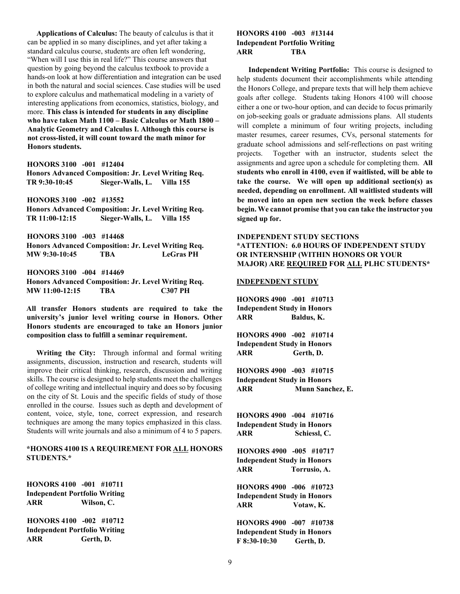**Applications of Calculus:** The beauty of calculus is that it can be applied in so many disciplines, and yet after taking a standard calculus course, students are often left wondering, "When will I use this in real life?" This course answers that question by going beyond the calculus textbook to provide a hands-on look at how differentiation and integration can be used in both the natural and social sciences. Case studies will be used to explore calculus and mathematical modeling in a variety of interesting applications from economics, statistics, biology, and more. **This class is intended for students in any discipline who have taken Math 1100 – Basic Calculus or Math 1800 – Analytic Geometry and Calculus I. Although this course is not cross-listed, it will count toward the math minor for Honors students.**

**HONORS 3100 -001 #12404** 

**Honors Advanced Composition: Jr. Level Writing Req. TR 9:30-10:45 Sieger-Walls, L. Villa 155 HONORS 3100 -002 #13552 Honors Advanced Composition: Jr. Level Writing Req. TR 11:00-12:15 Sieger-Walls, L. Villa 155 HONORS 3100 -003 #14468 Honors Advanced Composition: Jr. Level Writing Req. MW 9:30-10:45 TBA LeGras PH HONORS 3100 -004 #14469 Honors Advanced Composition: Jr. Level Writing Req. MW 11:00-12:15 TBA C307 PH**

**All transfer Honors students are required to take the university's junior level writing course in Honors. Other Honors students are encouraged to take an Honors junior composition class to fulfill a seminar requirement.** 

 **Writing the City:** Through informal and formal writing assignments, discussion, instruction and research, students will improve their critical thinking, research, discussion and writing skills. The course is designed to help students meet the challenges of college writing and intellectual inquiry and does so by focusing on the city of St. Louis and the specific fields of study of those enrolled in the course. Issues such as depth and development of content, voice, style, tone, correct expression, and research techniques are among the many topics emphasized in this class. Students will write journals and also a minimum of 4 to 5 papers.

#### **\*HONORS 4100 IS A REQUIREMENT FOR ALL HONORS STUDENTS.\***

**HONORS 4100 -001 #10711 Independent Portfolio Writing ARR Wilson, C.** 

**HONORS 4100 -002 #10712 Independent Portfolio Writing ARR Gerth, D.** 

#### **HONORS 4100 -003 #13144 Independent Portfolio Writing ARR TBA**

 **Independent Writing Portfolio:** This course is designed to help students document their accomplishments while attending the Honors College, and prepare texts that will help them achieve goals after college. Students taking Honors 4100 will choose either a one or two-hour option, and can decide to focus primarily on job-seeking goals or graduate admissions plans. All students will complete a minimum of four writing projects, including master resumes, career resumes, CVs, personal statements for graduate school admissions and self-reflections on past writing projects. Together with an instructor, students select the assignments and agree upon a schedule for completing them. **All students who enroll in 4100, even if waitlisted, will be able to take the course. We will open up additional section(s) as needed, depending on enrollment. All waitlisted students will be moved into an open new section the week before classes begin. We cannot promise that you can take the instructor you signed up for.**

# **INDEPENDENT STUDY SECTIONS \*ATTENTION: 6.0 HOURS OF INDEPENDENT STUDY OR INTERNSHIP (WITHIN HONORS OR YOUR MAJOR) ARE REQUIRED FOR ALL PLHC STUDENTS\***

#### **INDEPENDENT STUDY**

**HONORS 4900 -001 #10713 Independent Study in Honors ARR Baldus, K.** 

**HONORS 4900 -002 #10714 Independent Study in Honors ARR Gerth, D.** 

**HONORS 4900 -003 #10715 Independent Study in Honors ARR Munn Sanchez, E.** 

**HONORS 4900 -004 #10716 Independent Study in Honors ARR Schiessl, C.**

**HONORS 4900 -005 #10717 Independent Study in Honors ARR Torrusio, A.** 

**HONORS 4900 -006 #10723 Independent Study in Honors ARR Votaw, K.** 

**HONORS 4900 -007 #10738 Independent Study in Honors F 8:30-10:30 Gerth, D.**